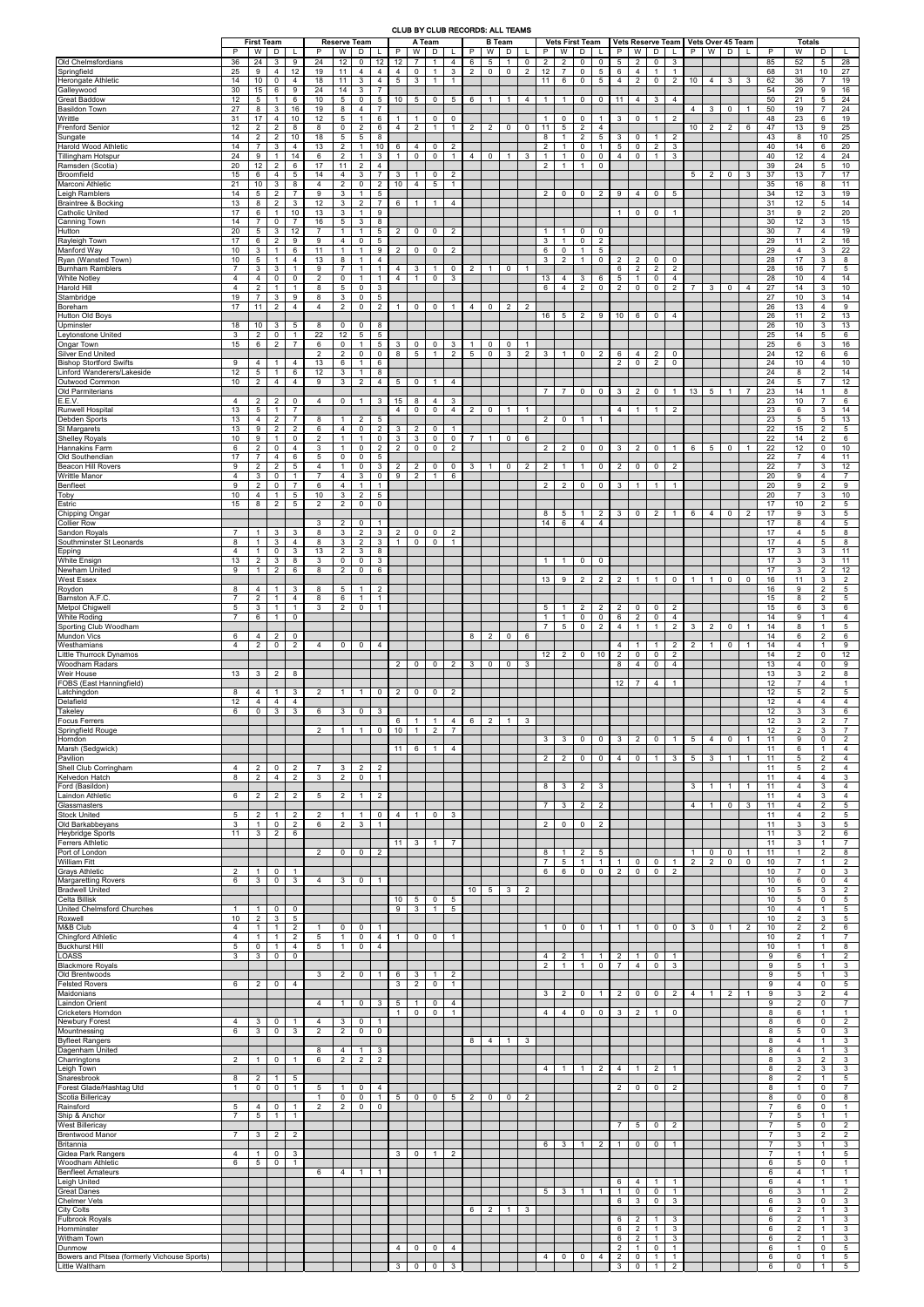## CLUB BY CLUB RECORDS: ALL TEAMS

|                                                                | P                                 | <b>First Team</b><br>W            | D                                             |                                  | P                    | <b>Reserve Team</b><br>W<br>D                    |                                    |                                                     | P                                       | A Team<br>W<br>D<br>L              |                                              |                                       | P                   | <b>B</b> Team<br>W<br>D        |                             |                |                            | <b>Vets First Team</b><br>W           | D                                         |                                   | P                                 | W                                     | D                                          |                                       | P               | Vets Reserve Team   Vets Over 45 Team<br>W<br>D |                |                | P                                | <b>Totals</b><br>W                    | D                                       |                                        |
|----------------------------------------------------------------|-----------------------------------|-----------------------------------|-----------------------------------------------|----------------------------------|----------------------|--------------------------------------------------|------------------------------------|-----------------------------------------------------|-----------------------------------------|------------------------------------|----------------------------------------------|---------------------------------------|---------------------|--------------------------------|-----------------------------|----------------|----------------------------|---------------------------------------|-------------------------------------------|-----------------------------------|-----------------------------------|---------------------------------------|--------------------------------------------|---------------------------------------|-----------------|-------------------------------------------------|----------------|----------------|----------------------------------|---------------------------------------|-----------------------------------------|----------------------------------------|
| Old Chelmsfordians<br>Springfield                              | 36<br>25<br>14                    | 24<br>9<br>10                     | 3<br>$\overline{4}$<br>$\mathbf 0$            | 9<br>12<br>$\overline{4}$        | 24<br>19<br>18       | 12<br>11<br>11                                   | 0<br>$\overline{4}$<br>3           | 12 <sup>2</sup><br>$\overline{4}$<br>$\overline{4}$ | 12<br>$\overline{4}$<br>$5\phantom{.0}$ | $\overline{7}$<br>$\mathbf 0$<br>3 | $\mathbf{1}$<br>$\mathbf{1}$<br>$\mathbf{1}$ | $\overline{4}$<br>3<br>$\overline{1}$ | 6<br>$\overline{2}$ | $5\phantom{.0}$<br>$\mathbf 0$ | $\mathbf{1}$<br>$\mathbf 0$ | 0<br>2         | $\overline{2}$<br>12<br>11 | $\overline{2}$<br>$\overline{7}$<br>6 | $\mathbf 0$<br>$\mathbf 0$<br>$\mathbf 0$ | $\mathbf 0$<br>5<br>5             | $\sqrt{5}$<br>6<br>4              | 2<br>$\overline{4}$<br>$\overline{2}$ | $\mathbf 0$<br>$\mathbf{1}$<br>$\mathbf 0$ | 3<br>$\overline{1}$<br>$\overline{2}$ | 10 <sup>1</sup> | $\overline{4}$                                  | 3              | 3              | 85<br>68<br>62                   | 52<br>31<br>36                        | $5\overline{5}$<br>10<br>$\overline{7}$ | 28<br>$\overline{27}$<br>19            |
| Herongate Athletic<br>Galleywood<br><b>Great Baddow</b>        | 30<br>12                          | 15<br>$5\phantom{.0}$             | 6<br>$\mathbf{1}$                             | 9<br>6                           | 24<br>10             | 14<br>$5\overline{5}$                            | 3<br>$\mathbf 0$                   | $\overline{7}$<br>$5\phantom{.0}$                   | 10 <sup>1</sup>                         | 5                                  | $\mathbf 0$                                  | 5 <sub>5</sub>                        | 6                   | $\mathbf{1}$                   | $\mathbf{1}$                | 4              | $\mathbf{1}$               | $\overline{1}$                        | $\overline{0}$                            | $\mathbf{0}$                      | 11                                | 4                                     | 3                                          | $\overline{4}$                        |                 |                                                 |                |                | 54<br>50                         | 29<br>21                              | 9<br>5                                  | 16<br>24                               |
| <b>Basildon Town</b><br>Writtle                                | 27<br>31                          | 8<br>17                           | 3<br>$\overline{4}$                           | 16<br>10                         | 19<br>12             | 8<br>5                                           | $\overline{4}$<br>$\overline{1}$   | $\overline{7}$<br>6                                 | -1                                      |                                    | 0                                            | 0                                     |                     |                                |                             |                |                            | 0                                     | 0                                         | -1                                | 3                                 | 0                                     | $\mathbf{1}$                               | 2                                     | $\overline{4}$  | 3                                               | $\mathbf 0$    | $\mathbf{1}$   | 50<br>48                         | 19<br>23                              | $\overline{7}$<br>6                     | $\overline{24}$<br>19                  |
| <b>Frenford Senior</b><br>Sungate                              | 12<br>14                          | $\overline{2}$<br>$\overline{2}$  | $\overline{2}$<br>$\overline{2}$              | 8<br>10                          | 8<br>18              | $\mathbf 0$<br>$5\overline{5}$                   | $\overline{2}$<br>5                | 6<br>8                                              | $\overline{4}$                          | $\overline{2}$                     | $\mathbf{1}$                                 | $\overline{1}$                        | $\overline{2}$      | $\overline{2}$                 | $\mathbf 0$                 | 0              | 11<br>8                    | $5\overline{5}$<br>$\overline{1}$     | $\overline{2}$<br>$\overline{2}$          | $\overline{4}$<br>5               | $\mathbf{3}$                      | 0                                     | $\mathbf{1}$                               | 2                                     | 10 <sup>1</sup> | 2                                               | $\overline{2}$ | 6              | 47<br>43                         | 13<br>8                               | 9<br>10                                 | 25<br>25                               |
| Harold Wood Athletic<br><b>Tillingham Hotspur</b>              | 14<br>24                          | $\overline{7}$<br>9               | 3<br>$\mathbf{1}$                             | $\overline{4}$<br>14             | 13<br>6              | $\overline{2}$<br>$\overline{2}$                 | $\overline{1}$<br>$\overline{1}$   | 10<br>3                                             | 6<br>$\mathbf{1}$                       | $\overline{4}$<br>0                | 0<br>$\mathbf 0$                             | 2<br>$\mathbf{1}$                     | $\overline{4}$      | $\mathbf 0$                    | $\mathbf{1}$                | 3              | 2<br>$\mathbf{1}$          | $\overline{1}$<br>$\mathbf{1}$        | $\mathbf 0$<br>$\mathbf 0$                | $\overline{1}$<br>$\mathbf 0$     | $5\phantom{.0}$<br>$\overline{4}$ | 0<br>$\mathbf 0$                      | $\overline{2}$<br>$\mathbf{1}$             | 3<br>3                                |                 |                                                 |                |                | 40<br>40                         | 14<br>12                              | 6<br>$\overline{4}$                     | $\overline{20}$<br>$\overline{24}$     |
| Ramsden (Scotia)<br>Broomfield                                 | 20<br>15                          | 12<br>6                           | $\overline{2}$<br>4                           | 6<br>5                           | 17<br>14             | 11<br>$\overline{4}$                             | $\overline{2}$<br>3                | $\overline{4}$<br>$\overline{7}$                    | 3                                       |                                    | 0                                            | 2                                     |                     |                                |                             |                | 2                          | $\overline{1}$                        | $\mathbf{1}$                              | $\mathbf 0$                       |                                   |                                       |                                            |                                       | 5 <sup>5</sup>  | $\overline{2}$                                  | $\mathbf 0$    | 3              | 39<br>37                         | 24<br>13                              | 5<br>$\overline{7}$                     | 10<br>17                               |
| Marconi Athletic<br>Leigh Ramblers                             | 21<br>14                          | 10<br>$5\phantom{.0}$             | $\mathbf{3}$<br>$\overline{2}$                | 8<br>$\overline{7}$              | $\overline{4}$<br>9  | $\overline{2}$<br>3                              | $\mathbf 0$<br>$\overline{1}$      | $\overline{2}$<br>5                                 | 10                                      | $\overline{4}$                     | $5\phantom{.0}$                              | $\mathbf{1}$                          |                     |                                |                             |                | 2                          | $\mathbf 0$                           | $\mathbf 0$                               | $\overline{2}$                    | 9                                 | $\overline{4}$                        | $\mathbf 0$                                | 5                                     |                 |                                                 |                |                | 35<br>34                         | 16<br>12                              | 8<br>3                                  | 11<br>19                               |
| <b>Braintree &amp; Bocking</b><br><b>Catholic United</b>       | 13<br>17                          | 8<br>6                            | $\overline{2}$<br>$\mathbf{1}$                | 3<br>10                          | 12<br>13             | $\mathbf{3}$<br>3                                | $\overline{2}$<br>$\overline{1}$   | $\overline{7}$<br>9                                 | 6                                       | $\overline{1}$                     | $\mathbf{1}$                                 | 4                                     |                     |                                |                             |                |                            |                                       |                                           |                                   | $\mathbf{1}$                      | 0                                     | 0                                          | $\overline{1}$                        |                 |                                                 |                |                | 31<br>31                         | 12<br>9                               | 5<br>2                                  | 14<br>$\overline{20}$                  |
| <b>Canning Town</b><br>Hutton                                  | 14<br>20                          | $\overline{7}$<br>5 <sup>5</sup>  | $\mathbf 0$<br>3                              | $\overline{7}$<br>12             | 16<br>$\overline{7}$ | $5\phantom{.0}$<br>$\mathbf{1}$                  | $\mathbf{3}$<br>$\overline{1}$     | 8<br>$5\overline{)}$                                | $\overline{2}$                          | 0                                  | $\mathbf 0$                                  | $\overline{2}$                        |                     |                                |                             |                | -1                         | $\overline{1}$                        | $\mathbf 0$                               | $\mathbf 0$                       |                                   |                                       |                                            |                                       |                 |                                                 |                |                | 30<br>30                         | 12<br>$\overline{7}$                  | 3<br>$\overline{4}$                     | 15<br>19                               |
| Rayleigh Town<br>Manford Way                                   | 17<br>10                          | 6<br>3                            | $\overline{2}$<br>$\mathbf{1}$                | 9<br>6                           | 9<br>11              | $\overline{4}$<br>$\mathbf{1}$                   | 0<br>$\overline{1}$                | 5<br>9                                              | $\overline{2}$                          | 0                                  | 0                                            | $\overline{2}$                        |                     |                                |                             |                | 3<br>6                     | $\mathbf{1}$<br>0                     | $\mathbf 0$<br>$\mathbf{1}$               | $\overline{2}$<br>$5\phantom{.0}$ |                                   |                                       |                                            |                                       |                 |                                                 |                |                | 29<br>29                         | 11<br>$\overline{4}$                  | $\overline{2}$<br>3                     | 16<br>$\overline{22}$                  |
| Ryan (Wansted Town)<br><b>Burnham Ramblers</b>                 | 10<br>$\overline{7}$              | $5\phantom{.0}$<br>$\mathbf{3}$   | $\mathbf{1}$<br>3                             | $\overline{4}$<br>$\overline{1}$ | 13<br>9              | 8<br>$\overline{7}$                              | $\overline{1}$<br>$\overline{1}$   | $\overline{4}$<br>$\overline{1}$                    | 4                                       | 3                                  | $\mathbf{1}$                                 | $\mathbf 0$                           | $\overline{2}$      | $\overline{1}$                 | $\mathbf 0$                 | $\mathbf{1}$   | 3                          | 2                                     | $\mathbf{1}$                              | $\mathbf 0$                       | $\overline{2}$<br>6               | $\overline{2}$<br>$\overline{2}$      | $\mathbf 0$<br>$\overline{2}$              | 0<br>2                                |                 |                                                 |                |                | 28<br>28                         | 17<br>16                              | 3<br>$\overline{7}$                     | 8<br>$5\overline{5}$                   |
| <b>White Notley</b><br>Harold Hill                             | $\overline{4}$<br>$\overline{4}$  | $\overline{4}$<br>$\overline{2}$  | $\mathbf 0$<br>$\mathbf{1}$                   | $\mathbf 0$<br>$\overline{1}$    | $\overline{2}$<br>8  | $\mathbf 0$<br>$5\overline{5}$                   | $\overline{1}$<br>$\mathbf 0$      | $\mathbf{1}$<br>3                                   | $\overline{4}$                          | $\overline{1}$                     | 0                                            | 3                                     |                     |                                |                             |                | 13<br>6                    | $\overline{4}$<br>$\overline{4}$      | 3<br>$\overline{2}$                       | 6<br>$\mathbf 0$                  | $\sqrt{5}$<br>$\overline{2}$      | $\mathbf{1}$<br>$\mathbf 0$           | $\mathbf 0$<br>$\mathbf 0$                 | $\overline{4}$<br>2                   | $\overline{7}$  | 3                                               | 0              | $\overline{4}$ | 28<br>27                         | 10<br>14                              | $\overline{4}$<br>$\mathbf{3}$          | 14<br>10                               |
| Stambridge<br>Boreham                                          | 19<br>17                          | $\overline{7}$<br>11              | 3<br>$\overline{2}$                           | 9<br>$\overline{4}$              | 8<br>$\overline{4}$  | 3<br>$\overline{2}$                              | $\mathbf 0$<br>0                   | $5\phantom{.0}$<br>2                                | $\mathbf{1}$                            | 0                                  | $\mathbf 0$                                  | $\overline{1}$                        | $\overline{4}$      | $\mathbf 0$                    | $\overline{2}$              | $\overline{2}$ |                            |                                       |                                           |                                   |                                   |                                       |                                            |                                       |                 |                                                 |                |                | 27<br>26                         | 10<br>13                              | 3<br>$\overline{4}$                     | 14<br>9                                |
| Hutton Old Boys<br>Upminster                                   | 18                                | 10                                | 3                                             | 5                                | 8                    | $\mathbf 0$                                      | 0                                  | 8                                                   |                                         |                                    |                                              |                                       |                     |                                |                             |                | 16                         | 5                                     | $\overline{2}$                            | 9                                 | 10                                | 6                                     | $\mathbf 0$                                | $\overline{4}$                        |                 |                                                 |                |                | 26<br>26                         | 11<br>10                              | $\overline{2}$<br>3                     | 13<br>13                               |
| Leytonstone United<br>Ongar Town                               | 3<br>15                           | $\overline{2}$<br>6               | $\mathbf 0$<br>$\overline{2}$                 | $\mathbf{1}$<br>$\overline{7}$   | $\overline{22}$<br>6 | 12<br>$\mathbf 0$                                | $5\overline{5}$<br>$\overline{1}$  | 5<br>5                                              | 3                                       | $\mathbf 0$                        | 0                                            | 3                                     | $\overline{1}$      | 0                              | 0                           |                |                            |                                       |                                           |                                   |                                   |                                       |                                            |                                       |                 |                                                 |                |                | 25<br>25                         | 14<br>6                               | 5<br>3                                  | 6<br>16                                |
| <b>Silver End United</b><br><b>Bishop Stortford Swifts</b>     | 9                                 | $\overline{4}$                    | -1                                            | $\overline{4}$                   | $\overline{2}$<br>13 | $\overline{2}$<br>6                              | 0<br>$\mathbf{1}$                  | $\mathbf 0$<br>6                                    | 8                                       | 5                                  | $\mathbf{1}$                                 | $\overline{2}$                        | $5\phantom{.0}$     | $\mathbf 0$                    | 3                           | $\overline{2}$ | 3                          | $\overline{1}$                        | $\mathbf 0$                               | $\overline{2}$                    | 6<br>$\overline{2}$               | 4<br>$\mathbf 0$                      | $\overline{2}$<br>$\overline{2}$           | 0<br>0                                |                 |                                                 |                |                | 24<br>24                         | 12<br>10                              | 6<br>$\overline{4}$                     | 6<br>10                                |
| Linford Wanderers/Lakeside<br>Outwood Common                   | 12<br>10 <sup>1</sup>             | $5\overline{5}$<br>$\overline{2}$ | $\overline{1}$<br>$\overline{4}$              | 6<br>$\overline{4}$              | 12<br>9              | 3<br>3 <sup>1</sup>                              | $\overline{1}$<br>2                | 8<br>$\overline{4}$                                 | 5                                       | $\mathbf 0$                        | $\mathbf{1}$                                 | $\overline{4}$                        |                     |                                |                             |                |                            |                                       |                                           |                                   |                                   |                                       |                                            |                                       |                 |                                                 |                |                | 24<br>24                         | 8<br>5                                | $\overline{2}$<br>$\overline{7}$        | 14<br>12                               |
| Old Parmiterians<br>E.E.V.                                     | 4                                 | $\overline{2}$                    | 2                                             | $\mathbf 0$                      | $\overline{4}$       | $\mathbf{0}$                                     | $\overline{1}$                     | 3                                                   | 15                                      | 8                                  | 4                                            | 3                                     |                     |                                |                             |                | $\overline{7}$             | $\overline{7}$                        | $\mathbf 0$                               | $\mathbf 0$                       | 3                                 | $\overline{2}$                        | $\mathbf 0$                                | $\overline{1}$                        | 13              | $5\phantom{.0}$                                 | $\mathbf{1}$   | $\overline{7}$ | 23<br>23                         | 14<br>10                              | $\mathbf{1}$<br>$\overline{7}$          | 8<br>6                                 |
| <b>Runwell Hospital</b><br>Debden Sports                       | 13<br>13                          | $5\overline{)}$<br>$\overline{4}$ | $\mathbf{1}$<br>$\overline{2}$                | $\overline{7}$<br>$\overline{7}$ | 8                    | $\overline{1}$                                   | $\overline{2}$                     | 5                                                   | $\overline{4}$                          | $\mathbf 0$                        | 0                                            | $\overline{4}$                        | $\overline{2}$      | $\overline{0}$                 | $\mathbf{1}$                | $\overline{1}$ | $\overline{2}$             | $\overline{0}$                        | $\overline{1}$                            | $\overline{1}$                    | $\overline{4}$                    | $\mathbf{1}$                          | $\mathbf{1}$                               | 2                                     |                 |                                                 |                |                | 23<br>23                         | 6<br>5                                | 3<br>$5\overline{5}$                    | 14<br>13                               |
| St Margarets<br><b>Shelley Royals</b><br>Hannakins Farm        | 13<br>10 <sup>°</sup><br>6        | 9<br>9<br>$\overline{2}$          | $\overline{2}$<br>$\mathbf{1}$<br>$\mathbf 0$ | $\overline{2}$<br>0              | 6<br>2<br>3          | $\overline{4}$<br>$\overline{1}$<br>$\mathbf{1}$ | $\mathbf 0$<br>$\overline{1}$<br>0 | $\overline{2}$<br>$\mathbf 0$<br>$\overline{2}$     | 3<br>3<br>2                             | $\overline{2}$<br>3<br>$\mathbf 0$ | $\mathbf 0$<br>$\mathbf 0$<br>$\mathbf 0$    | $\mathbf{1}$<br>$\mathbf 0$<br>2      | $\overline{7}$      | $\overline{1}$                 | $\overline{0}$              | 6              | 2                          | $\overline{2}$                        |                                           | $\mathbf 0$                       |                                   |                                       | $\mathbf 0$                                | $\overline{1}$                        | 6               | 5                                               | $\mathbf 0$    |                | 22<br>22<br>22                   | 15<br>14<br>12                        | $\overline{2}$<br>$\overline{2}$<br>0   | 5 <sup>5</sup><br>6<br>10 <sup>1</sup> |
| Old Southendian<br><b>Beacon Hill Rovers</b>                   | 17<br>9                           | $\overline{7}$<br>$\overline{2}$  | $\overline{4}$<br>$\overline{2}$              | $\overline{4}$<br>6<br>5         | 5<br>$\overline{4}$  | $\mathbf 0$<br>$\mathbf{1}$                      | 0<br>$\mathbf 0$                   | 5<br>3                                              | $\overline{2}$                          | $\overline{2}$                     | 0                                            | 0                                     | $\mathbf{3}$        | $\overline{1}$                 | $\mathbf 0$                 | $\overline{c}$ | $\overline{2}$             | $\overline{1}$                        | $\mathbf 0$<br>$\overline{1}$             | $\mathbf 0$                       | 3<br>$\overline{2}$               | 2<br>$\mathbf 0$                      | $\mathbf 0$                                | $\overline{2}$                        |                 |                                                 |                |                | 22<br>22                         | $\overline{7}$<br>$\overline{7}$      | $\overline{4}$<br>3                     | 11<br>12                               |
| <b>Writtle Manor</b><br>Benfleet                               | 4<br>9                            | 3<br>$\overline{2}$               | $\mathbf 0$<br>$\mathbf 0$                    | $\mathbf{1}$<br>$\overline{7}$   | $\overline{7}$<br>6  | $\overline{4}$<br>$\overline{4}$                 | 3<br>$\overline{1}$                | $\mathbf 0$<br>$\overline{1}$                       | 9                                       | $\overline{2}$                     | $\mathbf{1}$                                 | 6                                     |                     |                                |                             |                | 2                          | $\overline{2}$                        | $\mathbf 0$                               | 0                                 | 3                                 | $\mathbf{1}$                          | $\mathbf{1}$                               | $\overline{1}$                        |                 |                                                 |                |                | 20<br>20                         | 9<br>9                                | $\overline{4}$<br>$\overline{2}$        | $\overline{7}$<br>9                    |
| Toby<br>Estric                                                 | 10<br>15                          | $\overline{4}$<br>8               | $\mathbf{1}$<br>$\overline{2}$                | 5<br>5                           | 10<br>2              | 3<br>$\overline{2}$                              | $\overline{2}$<br>0                | $5\phantom{.0}$<br>$\mathbf 0$                      |                                         |                                    |                                              |                                       |                     |                                |                             |                |                            |                                       |                                           |                                   |                                   |                                       |                                            |                                       |                 |                                                 |                |                | 20<br>17                         | $\overline{7}$<br>10                  | 3<br>$\overline{2}$                     | 10<br>$5\overline{)}$                  |
| Chipping Ongar<br><b>Collier Row</b>                           |                                   |                                   |                                               |                                  | 3                    | $\overline{2}$                                   | 0                                  | $\mathbf{1}$                                        |                                         |                                    |                                              |                                       |                     |                                |                             |                | 8<br>14                    | 5<br>6                                | $\mathbf{1}$<br>$\overline{4}$            | $\overline{2}$<br>$\overline{4}$  | 3                                 | $\mathbf{0}$                          | $\overline{2}$                             | $\overline{1}$                        | 6               | $\overline{4}$                                  | 0              | 2              | 17<br>17                         | 9<br>8                                | 3<br>$\overline{4}$                     | 5 <sup>5</sup><br>5                    |
| Sandon Royals<br>Southminster St Leonards                      | 8                                 | $\mathbf{1}$<br>$\mathbf{1}$      | $\mathbf{3}$<br>3                             | 3<br>$\overline{4}$              | 8<br>8               | 3<br>3                                           | $\overline{2}$<br>2                | 3<br>3                                              | $\overline{2}$<br>$\mathbf{1}$          | $\mathbf 0$<br>$\mathbf 0$         | 0<br>$\mathsf{O}$                            | $\overline{2}$<br>$\overline{1}$      |                     |                                |                             |                |                            |                                       |                                           |                                   |                                   |                                       |                                            |                                       |                 |                                                 |                |                | 17<br>17                         | 4<br>$\overline{4}$                   | 5<br>5                                  | 8<br>8                                 |
| Epping<br>White Ensign                                         | $\overline{4}$<br>13              | $\overline{1}$<br>$\overline{2}$  | $\mathbf 0$<br>3                              | 3<br>8                           | 13<br>3              | $\overline{2}$<br>$\mathbf 0$                    | $\mathbf{3}$<br>0                  | 8<br>3                                              |                                         |                                    |                                              |                                       |                     |                                |                             |                | $\overline{1}$             | $\overline{1}$                        | $\mathbf 0$                               | $\mathbf 0$                       |                                   |                                       |                                            |                                       |                 |                                                 |                |                | 17<br>17                         | 3<br>3                                | 3<br>3                                  | 11<br>11                               |
| Newham United<br>West Essex                                    | 9                                 | $\mathbf{1}$                      | $\overline{2}$                                | 6                                | 8                    | $\overline{2}$                                   | $\mathbf 0$                        | 6                                                   |                                         |                                    |                                              |                                       |                     |                                |                             |                | 13                         | 9                                     | $\overline{2}$                            | $\overline{2}$                    | $\overline{2}$                    |                                       | $\mathbf{1}$                               | 0                                     |                 | -1                                              | $\Omega$       | 0              | 17<br>16                         | 3<br>11                               | $\overline{2}$<br>3                     | 12<br>$\overline{2}$                   |
| Roydon<br>Barnston A.F.C.                                      | 8<br>$\overline{7}$               | 4<br>$\overline{2}$               | $\mathbf{1}$                                  | 3<br>$\overline{4}$              | 8<br>8               | 5<br>6                                           | $\overline{1}$<br>$\overline{1}$   | $\overline{2}$<br>$\mathbf{1}$                      |                                         |                                    |                                              |                                       |                     |                                |                             |                |                            |                                       |                                           |                                   |                                   |                                       |                                            |                                       |                 |                                                 |                |                | 16<br>15                         | 9<br>8                                | $\overline{2}$<br>2                     | 5<br>$5\overline{5}$                   |
| <b>Metpol Chigwell</b><br><b>White Roding</b>                  | 5<br>$\overline{7}$               | 3<br>6                            | $\overline{1}$<br>$\overline{1}$              | $\mathbf{1}$<br>0                | 3                    | 2                                                | 0                                  | $\overline{1}$                                      |                                         |                                    |                                              |                                       |                     |                                |                             |                | 5<br>$\mathbf{1}$          | $\overline{1}$<br>$\overline{1}$      | $\overline{2}$<br>$\mathbf 0$             | 2<br>$\mathbf 0$                  | $\overline{2}$<br>6               | 0<br>$\overline{2}$                   | $\mathbf 0$<br>$\mathbf 0$                 | $\overline{2}$<br>$\overline{4}$      |                 |                                                 |                |                | 15<br>14                         | 6<br>9                                | 3<br>$\overline{1}$                     | 6<br>$\overline{4}$                    |
| Sporting Club Woodham<br>Mundon Vics                           | 6                                 | 4                                 | $\overline{2}$                                | 0                                |                      |                                                  |                                    |                                                     |                                         |                                    |                                              |                                       | 8                   | $\overline{2}$                 | $\mathbf 0$                 | 6              | $\overline{7}$             | 5                                     | $\mathbf 0$                               | $\overline{2}$                    | $\overline{4}$                    | $\mathbf{1}$                          | $\overline{1}$                             | $\overline{2}$                        | 3               | $\overline{2}$                                  | 0              | -1             | 14<br>14                         | 8<br>6                                | $\mathbf{1}$<br>$\overline{2}$          | 5<br>6                                 |
| Westhamians<br>Little Thurrock Dynamos                         | $\overline{4}$                    | $\overline{2}$                    | $\overline{0}$                                | $\overline{2}$                   | $\overline{4}$       | $\mathbf{0}$                                     | $\mathbf 0$                        | $\overline{4}$                                      |                                         |                                    |                                              |                                       |                     |                                |                             |                | 12                         | 2                                     | $\mathbf 0$                               | 10                                | 4<br>$\overline{2}$               | $\mathbf{1}$<br>0                     | $\overline{1}$<br>$\Omega$                 | 2<br>$\overline{2}$                   | $\overline{2}$  | $\mathbf{1}$                                    | 0              |                | 14<br>14                         | $\overline{4}$<br>$\overline{2}$      | $\mathbf{1}$<br>$\mathbf 0$             | 9<br>12                                |
| <b>Woodham Radars</b><br>Weir House                            | 13                                | 3                                 | $\overline{2}$                                | 8                                |                      |                                                  |                                    |                                                     | $\overline{2}$                          | $\mathbf 0$                        | 0                                            | $\overline{2}$                        | 3                   | $\mathbf 0$                    | 0                           | 3              |                            |                                       |                                           |                                   | 8                                 | $\overline{4}$                        | $\mathbf 0$                                | $\overline{4}$                        |                 |                                                 |                |                | 13<br>13                         | 4<br>3                                | $\mathbf 0$<br>2                        | 9<br>8                                 |
| FOBS (East Hanningfield)<br>Latchingdon                        | 8                                 | 4                                 | -1                                            | 3                                | 2                    | $\mathbf{1}$                                     | $\overline{1}$                     | $\mathbf 0$                                         | $\overline{2}$                          | 0                                  | $\mathbf 0$                                  | $\overline{2}$                        |                     |                                |                             |                |                            |                                       |                                           |                                   | 12                                | $\overline{7}$                        | 4                                          | $\overline{1}$                        |                 |                                                 |                |                | 12<br>12                         | $\overline{7}$<br>5                   | $\overline{4}$<br>$\overline{2}$        | $\mathbf{1}$<br>$5\phantom{.0}$        |
| Delafield<br>Takeley                                           | 12<br>6                           | $\overline{4}$<br>$\mathbf 0$     | $\overline{4}$<br>$\mathbf{3}$                | $\overline{4}$<br>3              | 6                    | 3                                                | 0                                  | $\mathbf{3}$                                        |                                         |                                    |                                              |                                       |                     |                                |                             |                |                            |                                       |                                           |                                   |                                   |                                       |                                            |                                       |                 |                                                 |                |                | 12<br>12                         | $\overline{4}$<br>3                   | $\overline{4}$<br>3                     | $\overline{4}$<br>6                    |
| Focus Ferrers<br>Springfield Rouge                             |                                   |                                   |                                               |                                  | $\overline{2}$       | $\mathbf{1}$                                     | $\overline{1}$                     | $\mathbf 0$                                         | 6<br>10                                 | $\overline{1}$<br>$\overline{1}$   | $\mathbf{1}$<br>$\overline{2}$               | 4<br>$\overline{7}$                   | 6                   | 2                              | $\mathbf{1}$                | 3              |                            |                                       |                                           |                                   |                                   |                                       |                                            |                                       |                 |                                                 |                |                | 12<br>12                         | 3<br>$\overline{2}$                   | $\overline{2}$<br>3                     | $\overline{7}$<br>$\overline{7}$       |
| Horndon<br>Marsh (Sedgwick)                                    |                                   |                                   |                                               |                                  |                      |                                                  |                                    |                                                     | 11                                      | 6                                  | -1                                           | 4                                     |                     |                                |                             |                | 3                          | 3                                     | $\mathbf 0$                               | 0                                 | 3                                 | 2                                     | 0                                          | $\overline{1}$                        | $5\overline{5}$ | 4                                               | 0              |                | 11<br>11                         | 9<br>6                                | $\mathbf 0$<br>$\overline{1}$           | $\overline{2}$<br>$\overline{4}$       |
| Pavilion<br>Shell Club Corringham                              | 4                                 | $\overline{2}$                    | 0                                             | $\overline{2}$                   | $\overline{7}$       | 3                                                | $\overline{2}$                     | $\overline{2}$                                      |                                         |                                    |                                              |                                       |                     |                                |                             |                | 2                          | 2                                     | $\mathbf 0$                               | $\mathbf 0$                       | $\overline{4}$                    | 0                                     | $\mathbf{1}$                               | 3                                     | 5               | 3                                               | $\overline{1}$ | $\overline{1}$ | 11<br>11                         | 5<br>5                                | $\overline{2}$<br>2                     | $\overline{4}$<br>$\overline{4}$       |
| Kelvedon Hatch<br>Ford (Basildon)<br>Laindon Athletic          | 8<br>6                            | $\overline{2}$<br>$\overline{2}$  | $\overline{4}$<br>$\overline{2}$              | $\overline{2}$<br>$\overline{2}$ | 3<br>5               | $\overline{2}$<br>$2^{\circ}$                    | $\mathbf 0$<br>$\overline{1}$      | $\overline{1}$<br>$\overline{2}$                    |                                         |                                    |                                              |                                       |                     |                                |                             |                | 8                          | $\mathbf{3}$                          | 2                                         | 3                                 |                                   |                                       |                                            |                                       | $\mathbf{3}$    | $\overline{1}$                                  | $\mathbf{1}$   | $\mathbf{1}$   | 11<br>11<br>11                   | 4<br>$\overline{4}$<br>$\overline{4}$ | $\overline{4}$<br>3<br>3                | 3<br>$\overline{4}$<br>$\overline{4}$  |
| Glassmasters<br><b>Stock United</b>                            | 5                                 | $\overline{2}$                    | $\overline{1}$                                | $\overline{2}$                   | 2                    | $\mathbf{1}$                                     | $\overline{1}$                     | $\mathbf{0}$                                        | 4                                       | $\mathbf{1}$                       | 0                                            | 3                                     |                     |                                |                             |                | $\overline{7}$             | 3                                     | 2                                         | 2                                 |                                   |                                       |                                            |                                       | $\overline{4}$  | $\overline{1}$                                  | 0              | 3              | 11<br>11                         | $\overline{4}$<br>$\overline{4}$      | 2<br>$\overline{2}$                     | 5<br>$5\phantom{.0}$                   |
| Old Barkabbeyans<br><b>Heybridge Sports</b>                    | 3<br>11                           | $\mathbf{1}$<br>3                 | $\mathbf 0$<br>$\overline{2}$                 | $\overline{2}$<br>6              | 6                    | $\overline{2}$                                   | 3                                  | $\overline{1}$                                      |                                         |                                    |                                              |                                       |                     |                                |                             |                | 2                          | $\mathbf 0$                           | $\mathbf 0$                               | $\overline{2}$                    |                                   |                                       |                                            |                                       |                 |                                                 |                |                | 11<br>11                         | 3<br>3                                | 3<br>$\overline{2}$                     | $5\phantom{.0}$<br>6                   |
| Ferrers Athletic<br>Port of London                             |                                   |                                   |                                               |                                  | 2                    | $\mathbf{0}$                                     | $\mathbf 0$                        | 2                                                   | 11                                      | 3                                  | $\mathbf{1}$                                 | $\overline{7}$                        |                     |                                |                             |                | 8                          | $\mathbf{1}$                          | $\overline{2}$                            | 5                                 |                                   |                                       |                                            |                                       | $\mathbf{1}$    | 0                                               | 0              | $\mathbf{1}$   | 11<br>11                         | 3<br>$\mathbf{1}$                     | $\overline{1}$<br>$\overline{2}$        | $\overline{7}$<br>8                    |
| <b>William Fitt</b><br><b>Grays Athletic</b>                   | 2                                 | $\overline{1}$                    | $\mathbf 0$                                   | $\overline{1}$                   |                      |                                                  |                                    |                                                     |                                         |                                    |                                              |                                       |                     |                                |                             |                | $\overline{7}$<br>6        | 5<br>6                                | $\overline{1}$<br>$\mathbf 0$             | $\overline{1}$<br>$\mathbf 0$     | $\mathbf{1}$<br>$\overline{2}$    | 0<br>$\mathbf 0$                      | $\mathbf 0$<br>$\mathbf 0$                 | $\overline{1}$<br>2                   | $\overline{2}$  | $\overline{2}$                                  | $\mathbf 0$    | $\mathbf 0$    | 10<br>10                         | $\overline{7}$<br>$\overline{7}$      | $\overline{1}$<br>$\mathbf 0$           | $\overline{2}$<br>3                    |
| Margaretting Rovers<br><b>Bradwell United</b>                  | 6                                 | 3                                 | $\mathbf 0$                                   | 3                                | $\overline{4}$       | $\mathbf{3}$                                     | 0                                  | $\overline{1}$                                      |                                         |                                    |                                              |                                       | 10 <sup>1</sup>     | 5                              | 3                           | $\overline{2}$ |                            |                                       |                                           |                                   |                                   |                                       |                                            |                                       |                 |                                                 |                |                | 10<br>10                         | 6<br>5                                | $\mathbf 0$<br>3                        | $\overline{4}$<br>$\overline{2}$       |
| Celta Billisk<br>United Chelmsford Churches                    |                                   | 1                                 | 0                                             | 0                                |                      |                                                  |                                    |                                                     | 10<br>9                                 | 5<br>3                             | 0<br>$\mathbf{1}$                            | 5<br>5                                |                     |                                |                             |                |                            |                                       |                                           |                                   |                                   |                                       |                                            |                                       |                 |                                                 |                |                | 10<br>10                         | 5<br>4                                | $\mathbf 0$<br>$\overline{1}$           | $5\phantom{.0}$<br>$5\phantom{.0}$     |
| Roxwell<br>M&B Club                                            | 10 <sup>1</sup><br>$\overline{4}$ | $\overline{2}$<br>$\overline{1}$  | $\mathbf{3}$<br>$\mathbf{1}$                  | 5<br>$\overline{2}$              | $\overline{1}$       | $\mathbf 0$                                      | $\mathbf 0$                        | $\overline{1}$                                      |                                         |                                    |                                              |                                       |                     |                                |                             |                | $\overline{1}$             | $\mathbf 0$                           | $\mathbf 0$                               | $\overline{1}$                    | $\overline{1}$                    | $\mathbf{1}$                          | $\mathbf 0$                                | $\mathbf 0$                           | 3               | $\mathbf 0$                                     | $\mathbf{1}$   | 2              | 10<br>10                         | $\overline{2}$<br>$\overline{2}$      | 3<br>2                                  | 5<br>6                                 |
| <b>Chingford Athletic</b><br><b>Buckhurst Hill</b>             | 4<br>5                            | $\mathbf{1}$<br>0                 | $\overline{1}$<br>$\mathbf{1}$                | $\overline{2}$<br>$\overline{4}$ | 5<br>5               | $\overline{1}$<br>$\overline{1}$                 | 0<br>0                             | $\overline{4}$<br>$\overline{4}$                    | $\mathbf{1}$                            | 0                                  | 0                                            | $\overline{1}$                        |                     |                                |                             |                |                            |                                       |                                           |                                   |                                   |                                       |                                            |                                       |                 |                                                 |                |                | 10<br>10                         | $\overline{2}$<br>$\mathbf{1}$        | $\overline{1}$<br>$\overline{1}$        | $\overline{7}$<br>8                    |
| LOASS<br><b>Blackmore Royals</b>                               | 3                                 | 3                                 | $\mathbf 0$                                   | $\mathbf 0$                      |                      |                                                  |                                    |                                                     |                                         |                                    |                                              |                                       |                     |                                |                             |                | 4<br>2                     | $\overline{2}$<br>$\overline{1}$      | $\mathbf{1}$<br>$\overline{1}$            | $\overline{1}$<br>$\mathbf 0$     | $\overline{2}$<br>$\overline{7}$  | -1<br>$\overline{4}$                  | 0<br>$\mathbf 0$                           | $\overline{1}$<br>3                   |                 |                                                 |                |                | 9<br>9                           | 6<br>5                                | $\mathbf{1}$<br>$\mathbf{1}$            | $\overline{2}$<br>3                    |
| Old Brentwoods<br><b>Felsted Rovers</b>                        | 6                                 | $\overline{2}$                    | $\mathbf 0$                                   | $\overline{4}$                   | 3                    | $\overline{2}$                                   | 0                                  |                                                     | 6<br>3                                  | 3<br>$\overline{2}$                | $\mathbf{1}$<br>$\mathbf 0$                  | $\overline{2}$<br>$\mathbf{1}$        |                     |                                |                             |                |                            |                                       |                                           |                                   |                                   |                                       |                                            |                                       |                 |                                                 |                |                | 9<br>9                           | 5<br>$\overline{4}$                   | $\overline{1}$<br>$\mathbf 0$           | 3<br>$5\overline{5}$                   |
| <b>Maidonians</b><br>Laindon Orient                            |                                   |                                   |                                               |                                  | $\overline{4}$       | $\mathbf{1}$                                     | $\mathbf 0$                        | 3                                                   | $5\phantom{.0}$                         | -1                                 | 0                                            | $\overline{4}$                        |                     |                                |                             |                | 3                          | 2                                     | $\mathbf 0$                               | $\overline{1}$                    | $\overline{2}$                    | $\mathbf 0$                           | $\mathbf 0$                                | $\overline{2}$                        | $\overline{4}$  | $\mathbf{1}$                                    | 2              |                | 9<br>9                           | 3<br>$\overline{2}$                   | 2<br>$\mathbf 0$                        | $\overline{4}$<br>$\overline{7}$       |
| Cricketers Horndon<br><b>Newbury Forest</b>                    | $\overline{4}$                    |                                   | $3 \mid 0 \mid$                               | $\overline{1}$                   | $\overline{4}$       | 3 <sup>1</sup>                                   | $\Omega$                           |                                                     | $\overline{1}$                          | $\mathbf 0$                        | $\mathbf 0$                                  | $\mathbf{1}$                          |                     |                                |                             |                | 4                          | $\overline{4}$                        | $\mathbf 0$                               | $\mathbf 0$                       | 3                                 | $\overline{2}$                        | $\mathbf{1}$                               | $\mathbf 0$                           |                 |                                                 |                |                | 8<br>8                           | 6<br>6                                | $\mathbf{1}$<br>$\Omega$                | $\mathbf{1}$<br>$\overline{2}$         |
| Mountnessing<br><b>Byfleet Rangers</b>                         | 6                                 | 3                                 | $\overline{0}$                                | $\overline{3}$                   | 2                    | 2                                                | $\mathbf 0$                        | $\overline{0}$                                      |                                         |                                    |                                              |                                       | 8                   | 4                              | $\overline{1}$              | 3              |                            |                                       |                                           |                                   |                                   |                                       |                                            |                                       |                 |                                                 |                |                | 8<br>8                           | 5<br>4                                | 0<br>$\mathbf{1}$                       | $\mathbf{3}$<br>3                      |
| Dagenham United<br>Charringtons                                | 2                                 | $\overline{1}$                    | $\mathbf 0$                                   | $\mathbf{1}$                     | 8<br>6               | 4<br>$2^{\circ}$                                 | $\overline{1}$<br>$\overline{2}$   | 3<br>2                                              |                                         |                                    |                                              |                                       |                     |                                |                             |                |                            |                                       |                                           |                                   |                                   |                                       |                                            |                                       |                 |                                                 |                |                | 8<br>8                           | 4<br>3                                | $\mathbf{1}$<br>$\overline{2}$          | 3<br>$\mathbf{3}$                      |
| Leigh Town<br>Snaresbrook                                      | 8                                 | $\overline{2}$                    | $\mathbf{1}$                                  | 5                                |                      |                                                  |                                    |                                                     |                                         |                                    |                                              |                                       |                     |                                |                             |                | $\overline{4}$             | $\overline{1}$                        | $\overline{1}$                            | 2                                 | $\overline{4}$                    | $\mathbf{1}$                          | $\overline{2}$                             | $\overline{1}$                        |                 |                                                 |                |                | 8<br>8                           | $\overline{2}$<br>$\overline{2}$      | 3<br>$\overline{1}$                     | 3<br>$5\overline{5}$                   |
| Forest Glade/Hashtag Utd<br>Scotia Billericay                  | $\mathbf{1}$                      | $\mathbf{0}$                      | $\overline{0}$                                | $\overline{1}$                   | 5<br>$\mathbf{1}$    | $\mathbf{1}$<br>$\mathbf{0}$                     | $\mathbf 0$<br>$\mathbf 0$         | $\overline{4}$<br>$\overline{1}$                    | $5\overline{5}$                         | $\mathbf 0$                        | $\mathbf 0$                                  | 5 <sub>1</sub>                        | 2                   | $\mathbf 0$                    | $\mathbf 0$                 | 2              |                            |                                       |                                           |                                   | $\overline{2}$                    | 0                                     | $\mathbf 0$                                | $\overline{2}$                        |                 |                                                 |                |                | 8<br>8                           | $\mathbf{1}$<br>$\mathbf 0$           | $\mathbf 0$<br>$\mathbf 0$              | $\overline{7}$<br>8                    |
| Rainsford<br>Ship & Anchor                                     | 5<br>$\overline{7}$               | $\overline{4}$<br>$5\phantom{.0}$ | 0<br>$\mathbf{1}$                             | $\overline{1}$<br>$\overline{1}$ | $\overline{2}$       | $\overline{2}$                                   | 0                                  | $\mathbf 0$                                         |                                         |                                    |                                              |                                       |                     |                                |                             |                |                            |                                       |                                           |                                   |                                   |                                       |                                            |                                       |                 |                                                 |                |                | $\overline{7}$<br>$\overline{7}$ | 6<br>5                                | 0<br>$\mathbf{1}$                       | $\mathbf{1}$<br>$\mathbf{1}$           |
| <b>West Billericay</b><br><b>Brentwood Manor</b>               | $\overline{7}$                    | 3                                 | $\overline{2}$                                | $\overline{2}$                   |                      |                                                  |                                    |                                                     |                                         |                                    |                                              |                                       |                     |                                |                             |                |                            |                                       |                                           |                                   | $\overline{7}$                    | 5 <sub>5</sub>                        | $\mathbf 0$                                | 2                                     |                 |                                                 |                |                | $\overline{7}$<br>$\overline{7}$ | 5<br>3                                | $\mathbf 0$<br>2                        | $\overline{2}$<br>$\overline{2}$       |
| <b>Britannia</b><br>Gidea Park Rangers                         | $\overline{4}$                    | $\mathbf{1}$                      | $\overline{0}$                                | $\mathbf{3}$                     |                      |                                                  |                                    |                                                     | 3                                       | 0                                  | $\overline{1}$                               | 2                                     |                     |                                |                             |                | 6                          | $\mathbf{3}$                          | $\overline{1}$                            | $\overline{2}$                    | $\overline{1}$                    | 0                                     | $\mathbf 0$                                | $\overline{1}$                        |                 |                                                 |                |                | $\overline{7}$<br>$\overline{7}$ | 3<br>$\mathbf{1}$                     | $\overline{1}$<br>$\overline{1}$        | $\mathbf{3}$<br>5 <sup>5</sup>         |
| Woodham Athletic<br><b>Benfleet Amateurs</b>                   | 6                                 | $5\overline{)}$                   | $\overline{0}$                                | $\overline{1}$                   | 6                    | 4                                                | $\overline{1}$                     | $\overline{1}$                                      |                                         |                                    |                                              |                                       |                     |                                |                             |                |                            |                                       |                                           |                                   |                                   |                                       |                                            |                                       |                 |                                                 |                |                | 6<br>6                           | 5<br>4                                | 0<br>$\mathbf{1}$                       | $\mathbf{1}$<br>$\mathbf{1}$           |
| Leigh United<br><b>Great Danes</b>                             |                                   |                                   |                                               |                                  |                      |                                                  |                                    |                                                     |                                         |                                    |                                              |                                       |                     |                                |                             |                | 5                          | $\mathbf{3}$                          | $\overline{1}$                            | $\overline{1}$                    | 6<br>$\mathbf{1}$                 | 4<br>$\mathbf 0$                      | $\mathbf{1}$<br>$\mathbf 0$                | $\overline{1}$<br>$\overline{1}$      |                 |                                                 |                |                | 6<br>6                           | 4<br>3                                | $\mathbf{1}$<br>$\mathbf{1}$            | $\mathbf{1}$<br>$\overline{2}$         |
| <b>Chelmer Vets</b><br><b>City Colts</b>                       |                                   |                                   |                                               |                                  |                      |                                                  |                                    |                                                     |                                         |                                    |                                              |                                       | 6                   | $\overline{2}$                 | $\mathbf{1}$                | 3              |                            |                                       |                                           |                                   | 6                                 | 3                                     | $\mathbf 0$                                | $\mathbf{3}$                          |                 |                                                 |                |                | 6<br>6                           | 3<br>$\overline{2}$                   | $\mathbf 0$<br>$\overline{1}$           | 3<br>$\mathbf{3}$                      |
| <b>Fulbrook Royals</b><br>Hornminster                          |                                   |                                   |                                               |                                  |                      |                                                  |                                    |                                                     |                                         |                                    |                                              |                                       |                     |                                |                             |                |                            |                                       |                                           |                                   | 6<br>6                            | $\overline{2}$<br>$\overline{2}$      | -1<br>$\overline{1}$                       | 3<br>$\mathbf{3}$                     |                 |                                                 |                |                | 6<br>6                           | $\overline{2}$<br>$\overline{2}$      | $\overline{1}$<br>$\overline{1}$        | $\mathbf{3}$<br>$\mathbf{3}$           |
| Witham Town<br>Dunmow                                          |                                   |                                   |                                               |                                  |                      |                                                  |                                    |                                                     | 4                                       | 0                                  | 0                                            | $\overline{4}$                        |                     |                                |                             |                |                            |                                       |                                           |                                   | 6<br>$\overline{2}$               | $\overline{2}$<br>$\mathbf{1}$        | $\mathbf{1}$<br>0                          | 3<br>$\overline{1}$                   |                 |                                                 |                |                | 6<br>6                           | $\overline{2}$<br>$\mathbf{1}$        | $\mathbf{1}$<br>0                       | $\mathbf{3}$<br>5 <sub>5</sub>         |
| Bowers and Pitsea (formerly Vichouse Sports)<br>Little Waltham |                                   |                                   |                                               |                                  |                      |                                                  |                                    |                                                     | 3 <sup>1</sup>                          | $\overline{0}$                     | $\overline{0}$                               | $\mathbf{3}$                          |                     |                                |                             |                | $\overline{4}$             | $\mathbf 0$                           | $\mathbf 0$                               | 4                                 | $\overline{2}$<br>$\mathbf{3}$    | $\mathbf 0$<br>$\mathbf 0$            | $\overline{1}$<br>$\mathbf{1}$             | $\overline{1}$<br>2                   |                 |                                                 |                |                | 6<br>6                           | 0<br>$\mathbf 0$                      | $\mathbf{1}$<br>$\overline{1}$          | 5 <sub>5</sub><br>5 <sup>5</sup>       |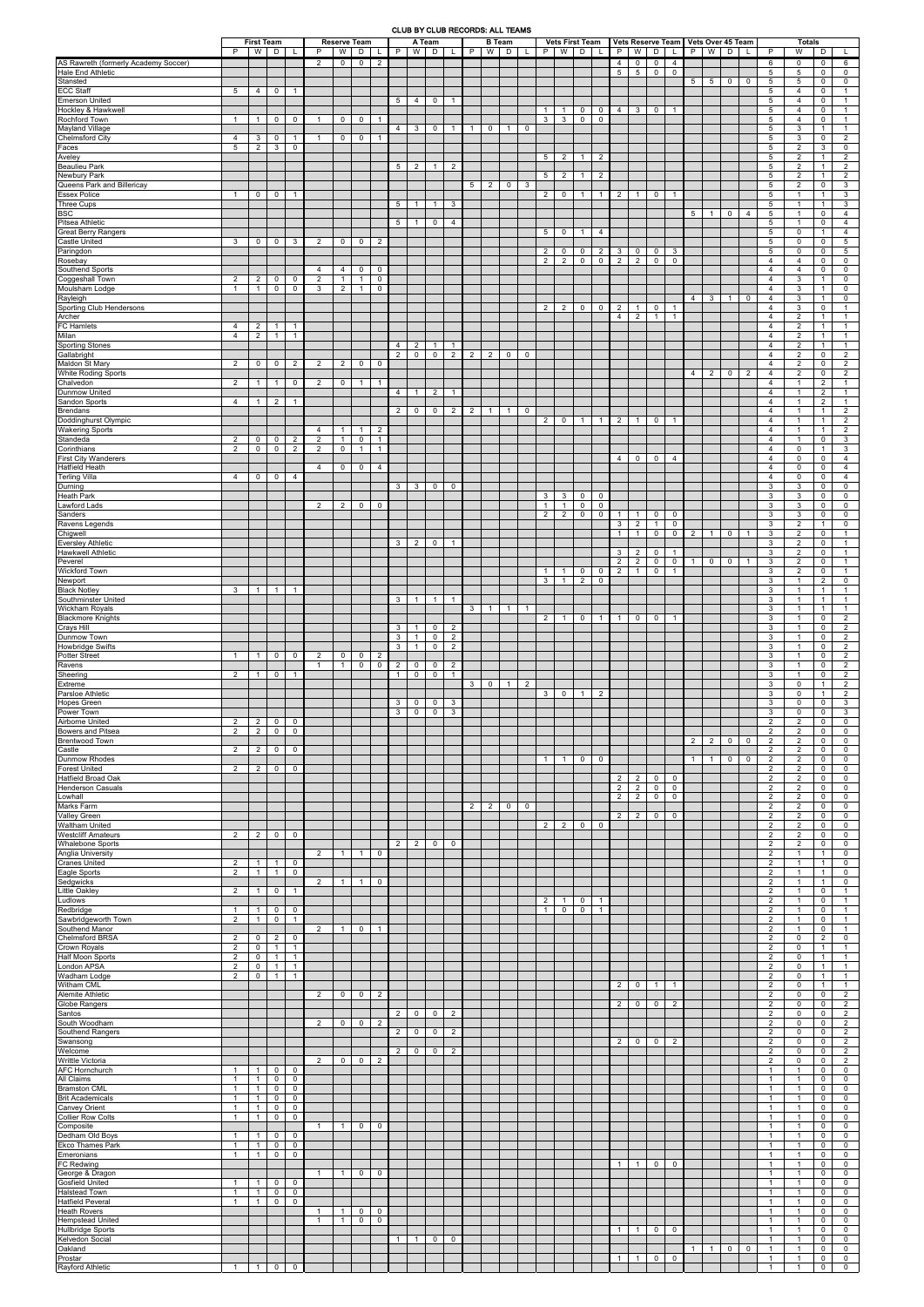## CLUB BY CLUB RECORDS: ALL TEAMS

|                                                                  | <b>First Team</b><br><b>Reserve Team</b><br>A Team<br>W<br>W<br>P<br>W  <br>D<br>D<br>P<br>D<br>P<br>L |                                  |                                  |                                  |                                  |                                |                                          |                                  | P                 | <b>B</b> Team<br>W               | D                | L                                | P              | W              | <b>Vets First Team</b><br>D |                | P                   | W                 | D                | Vets Reserve Team   Vets Over 45 Team<br>P<br>W<br>D |                                  |                                   |                            |                               | <b>Totals</b><br>W<br>P<br>D |                         |                |                |                                    |                                  |                                  |                                    |
|------------------------------------------------------------------|--------------------------------------------------------------------------------------------------------|----------------------------------|----------------------------------|----------------------------------|----------------------------------|--------------------------------|------------------------------------------|----------------------------------|-------------------|----------------------------------|------------------|----------------------------------|----------------|----------------|-----------------------------|----------------|---------------------|-------------------|------------------|------------------------------------------------------|----------------------------------|-----------------------------------|----------------------------|-------------------------------|------------------------------|-------------------------|----------------|----------------|------------------------------------|----------------------------------|----------------------------------|------------------------------------|
| AS Rawreth (formerly Academy Soccer)<br><b>Hale End Athletic</b> |                                                                                                        |                                  |                                  |                                  | 2                                | $\mathbf 0$                    | $\mathbf{0}$                             | $\overline{2}$                   |                   |                                  |                  |                                  |                |                |                             |                |                     |                   |                  |                                                      | $\overline{4}$<br>5              | $\overline{0}$<br>$5\phantom{.0}$ | $\pmb{0}$<br>$\mathbf 0$   | $\overline{4}$<br>$\mathbf 0$ |                              |                         |                |                | $6\phantom{.}6$<br>$5\phantom{.0}$ | $\mathsf{O}$<br>5                | $\mathbf 0$<br>0                 | 6<br>0                             |
| Stansted<br><b>ECC Staff</b>                                     | 5                                                                                                      | $\overline{4}$                   | $\mathbf 0$                      | $\overline{1}$                   |                                  |                                |                                          |                                  |                   |                                  |                  |                                  |                |                |                             |                |                     |                   |                  |                                                      |                                  |                                   |                            |                               | 5 <sup>5</sup>               | $5\phantom{.0}$         | $\mathbf 0$    | 0              | $\overline{5}$<br>5                | 5<br>$\overline{4}$              | 0<br>$\mathbf 0$                 | 0<br>$\overline{1}$                |
| <b>Emerson United</b><br>Hockley & Hawkwell                      |                                                                                                        |                                  |                                  |                                  |                                  |                                |                                          |                                  | $5\overline{5}$   | $\overline{4}$                   | 0                | $\mathbf{1}$                     |                |                |                             |                | $\overline{1}$      | $\mathbf{1}$      | $\mathbf 0$      | $\mathbf 0$                                          | $\overline{4}$                   | 3                                 | 0                          | $\mathbf{1}$                  |                              |                         |                |                | 5<br>$5\phantom{.0}$               | $\overline{4}$<br>$\overline{4}$ | 0<br>$\mathbf 0$                 | $\mathbf{1}$<br>$\overline{1}$     |
| Rochford Town<br><b>Mayland Village</b>                          | $\mathbf{1}$                                                                                           | $\overline{1}$                   | $\overline{0}$                   | $\mathbf 0$                      | $\overline{1}$                   | $\mathbf 0$                    | 0                                        | $\overline{1}$                   | $\overline{4}$    | $\mathbf{3}$                     | $\mathbf 0$      | $\mathbf{1}$                     | $\overline{1}$ | $\mathbf 0$    | $\mathbf{1}$                | $\mathbf 0$    | 3                   | 3                 | $\mathbf 0$      | $\mathbf 0$                                          |                                  |                                   |                            |                               |                              |                         |                |                | $5\phantom{.0}$<br>5               | $\overline{4}$<br>3              | 0<br>$\overline{1}$              | $\mathbf{1}$<br>$\mathbf{1}$       |
| <b>Chelmsford City</b><br>Faces                                  | $\overline{4}$<br>5                                                                                    | 3<br>$\overline{2}$              | $\mathbf 0$<br>$\mathbf{3}$      | $\overline{1}$<br>$\mathbf 0$    |                                  | 0                              | 0                                        | $\overline{1}$                   |                   |                                  |                  |                                  |                |                |                             |                |                     |                   |                  |                                                      |                                  |                                   |                            |                               |                              |                         |                |                | $5\phantom{.0}$<br>$5\phantom{.0}$ | 3<br>$\overline{2}$              | 0<br>3                           | $\overline{2}$<br>$\mathbf 0$      |
| Aveley<br><b>Beaulieu Park</b>                                   |                                                                                                        |                                  |                                  |                                  |                                  |                                |                                          |                                  |                   | $5 \mid 2$                       | $\overline{1}$   | $\overline{2}$                   |                |                |                             |                | 5                   | $\overline{2}$    | $\overline{1}$   | $\overline{2}$                                       |                                  |                                   |                            |                               |                              |                         |                |                | $5\phantom{.0}$<br>5               | 2<br>$\overline{2}$              | $\mathbf{1}$<br>$\mathbf{1}$     | $\overline{2}$<br>2                |
| Newbury Park<br>Queens Park and Billericay                       |                                                                                                        |                                  |                                  |                                  |                                  |                                |                                          |                                  |                   |                                  |                  |                                  | 5 <sup>5</sup> | $\overline{2}$ | $\mathbf 0$                 | 3              | 5                   | $\overline{2}$    | $\overline{1}$   | $\overline{2}$                                       |                                  |                                   |                            |                               |                              |                         |                |                | $5\phantom{.0}$<br>5               | 2<br>$\overline{2}$              | $\overline{1}$<br>$\mathbf 0$    | $\overline{2}$<br>3                |
| <b>Essex Police</b>                                              | $\mathbf{1}$                                                                                           | $\mathbf 0$                      | $\overline{0}$                   | $\overline{1}$                   |                                  |                                |                                          |                                  |                   |                                  |                  |                                  |                |                |                             |                | $\overline{2}$      | $\mathbf 0$       | $\overline{1}$   | $\overline{1}$                                       | $\overline{2}$                   | $\mathbf{1}$                      | 0                          | $\mathbf{1}$                  |                              |                         |                |                | $5\phantom{.0}$                    | $\mathbf{1}$                     | $\mathbf{1}$                     | 3                                  |
| <b>Three Cups</b><br><b>BSC</b>                                  |                                                                                                        |                                  |                                  |                                  |                                  |                                |                                          |                                  | 5                 | $\overline{1}$                   | $\overline{1}$   | 3                                |                |                |                             |                |                     |                   |                  |                                                      |                                  |                                   |                            |                               | 5                            | -1                      | $\mathbf 0$    | 4              | $5\phantom{.0}$<br>$\overline{5}$  | $\mathbf{1}$<br>$\overline{1}$   | $\mathbf{1}$<br>0                | 3<br>$\overline{4}$                |
| Pitsea Athletic<br><b>Great Berry Rangers</b>                    |                                                                                                        |                                  |                                  |                                  |                                  |                                |                                          |                                  | 5                 | $\overline{1}$                   | $\mathbf 0$      | $\overline{4}$                   |                |                |                             |                | 5                   | 0                 | $\overline{1}$   | $\overline{4}$                                       |                                  |                                   |                            |                               |                              |                         |                |                | $5\phantom{.0}$<br>5               | $\mathbf{1}$<br>$\mathbf 0$      | $\mathbf 0$<br>$\mathbf{1}$      | $\overline{4}$<br>$\overline{4}$   |
| <b>Castle United</b><br>Paringdon                                | 3                                                                                                      | 0                                | $\mathbf 0$                      | 3                                | 2                                | 0                              | 0                                        | 2                                |                   |                                  |                  |                                  |                |                |                             |                | $\overline{2}$      | 0                 | $\mathbf 0$      | $\overline{2}$                                       | 3                                | 0                                 | 0                          | 3                             |                              |                         |                |                | $5\phantom{.0}$<br>$5\phantom{.0}$ | 0<br>$\mathsf 0$                 | 0<br>$\mathbf 0$                 | $5\phantom{.0}$<br>$5\phantom{.0}$ |
| Rosebay<br>Southend Sports                                       |                                                                                                        |                                  |                                  |                                  | $\overline{4}$                   | 4                              | $\mathbf 0$                              | $\mathbf 0$                      |                   |                                  |                  |                                  |                |                |                             |                | $\overline{2}$      | 2                 | $\mathbf 0$      | $\mathbf 0$                                          | $\overline{2}$                   | $\overline{2}$                    | $\mathbf 0$                | $\mathbf 0$                   |                              |                         |                |                | $\overline{4}$<br>$\overline{4}$   | 4<br>$\overline{4}$              | 0<br>0                           | $\mathbf 0$<br>0                   |
| Coggeshall Town<br>Moulsham Lodge                                | $\overline{2}$<br>$\mathbf{1}$                                                                         | $\overline{2}$<br>$\mathbf{1}$   | $\mathbf 0$<br>$\overline{0}$    | $\mathbf 0$<br>$\mathbf 0$       | $\overline{2}$<br>3              | $\mathbf{1}$<br>$\overline{2}$ | $\overline{\phantom{a}}$<br>$\mathbf{1}$ | $\mathbf 0$<br>$\mathbf 0$       |                   |                                  |                  |                                  |                |                |                             |                |                     |                   |                  |                                                      |                                  |                                   |                            |                               |                              |                         |                |                | $\overline{4}$<br>$\overline{4}$   | 3<br>3                           | $\mathbf{1}$<br>$\mathbf{1}$     | $\mathbf 0$<br>$\mathbf 0$         |
| Rayleigh<br>Sporting Club Hendersons                             |                                                                                                        |                                  |                                  |                                  |                                  |                                |                                          |                                  |                   |                                  |                  |                                  |                |                |                             |                | 2                   | $\overline{2}$    | $\overline{0}$   | $\mathbf 0$                                          | $\overline{2}$                   | $\mathbf{1}$                      | 0                          | $\mathbf{1}$                  | $4 \vert$                    | $\overline{\mathbf{3}}$ | $\overline{1}$ | 0              | $\overline{4}$<br>$\overline{4}$   | 3<br>3                           | $\mathbf{1}$<br>$\mathbf 0$      | $\mathbf 0$<br>$\overline{1}$      |
| Archer<br>FC Hamlets                                             | $\overline{4}$                                                                                         | $\overline{2}$                   | $\overline{1}$                   | $\overline{1}$                   |                                  |                                |                                          |                                  |                   |                                  |                  |                                  |                |                |                             |                |                     |                   |                  |                                                      | $\overline{4}$                   | $\overline{2}$                    | $\mathbf{1}$               | $\mathbf{1}$                  |                              |                         |                |                | $\overline{4}$<br>$\overline{4}$   | $\overline{2}$<br>2              | $\mathbf{1}$<br>$\mathbf{1}$     | $\overline{1}$<br>$\mathbf{1}$     |
| Milan<br><b>Sporting Stones</b>                                  | $\overline{4}$                                                                                         | $\overline{2}$                   | $\mathbf{1}$                     | $\overline{1}$                   |                                  |                                |                                          |                                  | 4                 | $\overline{2}$                   | $\mathbf{1}$     |                                  |                |                |                             |                |                     |                   |                  |                                                      |                                  |                                   |                            |                               |                              |                         |                |                | $\overline{4}$<br>4                | $\overline{2}$<br>2              | $\mathbf{1}$<br>$\mathbf{1}$     | $\overline{1}$<br>$\overline{1}$   |
| Gallabright<br>Maldon St Mary                                    | 2                                                                                                      | $\mathbf 0$                      | $\overline{0}$                   | $\overline{2}$                   | 2                                | $\overline{2}$                 | $\mathbf 0$                              | $\mathbf 0$                      | 2                 | $\mathbf 0$                      | 0                | $\overline{2}$                   | $\overline{2}$ | $\overline{2}$ | $\mathbf 0$                 | 0              |                     |                   |                  |                                                      |                                  |                                   |                            |                               |                              |                         |                |                | $\overline{4}$<br>$\overline{4}$   | 2<br>$\overline{2}$              | $\mathbf 0$<br>0                 | 2<br>2                             |
| White Roding Sports<br>Chalvedon                                 | $\overline{2}$                                                                                         | $\mathbf{1}$                     |                                  | $\mathbf 0$                      |                                  |                                |                                          | $\overline{1}$                   |                   |                                  |                  |                                  |                |                |                             |                |                     |                   |                  |                                                      |                                  |                                   |                            |                               | $\overline{4}$               | $\overline{2}$          | $\mathbf 0$    | 2              | $\overline{4}$<br>$\overline{4}$   | 2<br>$\mathbf{1}$                | $\mathbf 0$<br>$\overline{2}$    | $\overline{2}$                     |
| <b>Dunmow United</b>                                             |                                                                                                        |                                  | $\mathbf{1}$                     |                                  | 2                                | $\mathbf 0$                    | $\mathbf{1}$                             |                                  | $\overline{4}$    | $\overline{1}$                   | $\overline{2}$   | $\mathbf{1}$                     |                |                |                             |                |                     |                   |                  |                                                      |                                  |                                   |                            |                               |                              |                         |                |                | $\overline{4}$                     | $\mathbf{1}$                     | $\overline{2}$                   | $\mathbf{1}$<br>$\mathbf{1}$       |
| Sandon Sports<br>Brendans                                        | $\overline{4}$                                                                                         | $\mathbf{1}$                     | $\overline{2}$                   | $\overline{1}$                   |                                  |                                |                                          |                                  | $\overline{2}$    | $\mathbf 0$                      | $\mathbf 0$      | $\overline{2}$                   | $\overline{2}$ | $\overline{1}$ | $\mathbf{1}$                | $\mathbf 0$    |                     |                   |                  |                                                      |                                  |                                   |                            |                               |                              |                         |                |                | $\overline{4}$<br>$\overline{4}$   | $\mathbf{1}$<br>$\mathbf{1}$     | $\overline{2}$<br>$\mathbf{1}$   | $\mathbf{1}$<br>$\overline{2}$     |
| Doddinghurst Olympic<br><b>Wakering Sports</b>                   |                                                                                                        |                                  |                                  |                                  | $\overline{4}$                   | $\mathbf{1}$                   | $\mathbf{1}$                             | $\overline{2}$                   |                   |                                  |                  |                                  |                |                |                             |                | $\overline{2}$      | $\mathbf 0$       | $\overline{1}$   | $\overline{1}$                                       | $\overline{2}$                   | $\mathbf{1}$                      | $\mathbf 0$                | $\mathbf{1}$                  |                              |                         |                |                | $\overline{4}$<br>$\overline{4}$   | $\mathbf{1}$<br>$\overline{1}$   | $\mathbf{1}$<br>$\mathbf{1}$     | $\overline{2}$<br>2                |
| Standeda<br>Corinthians                                          | 2<br>$\overline{2}$                                                                                    | 0<br>$\mathbf{0}$                | $\mathbf 0$<br>$\overline{0}$    | $\overline{2}$<br>2              | $\overline{2}$<br>2              | $\mathbf{1}$<br>$\mathbf 0$    | $\mathbf 0$<br>$\mathbf{1}$              | $\overline{1}$<br>$\overline{1}$ |                   |                                  |                  |                                  |                |                |                             |                |                     |                   |                  |                                                      |                                  |                                   |                            |                               |                              |                         |                |                | $\overline{4}$<br>$\overline{4}$   | $\mathbf{1}$<br>$\mathsf{O}$     | $\mathbf 0$<br>$\mathbf{1}$      | $\mathbf{3}$<br>3                  |
| <b>First City Wanderers</b><br><b>Hatfield Heath</b>             |                                                                                                        |                                  |                                  |                                  | $\overline{4}$                   | 0                              | 0                                        | $\overline{4}$                   |                   |                                  |                  |                                  |                |                |                             |                |                     |                   |                  |                                                      | $\overline{4}$                   | $\mathbf 0$                       | 0                          | 4                             |                              |                         |                |                | $\overline{4}$<br>$\overline{4}$   | 0<br>0                           | $\mathbf 0$<br>0                 | $\overline{4}$<br>$\overline{4}$   |
| <b>Terling Villa</b><br>Durning                                  | $\overline{4}$                                                                                         | 0                                | $\mathbf 0$                      | 4                                |                                  |                                |                                          |                                  | 3                 | 3                                | $\mathbf 0$      | $\mathbf 0$                      |                |                |                             |                |                     |                   |                  |                                                      |                                  |                                   |                            |                               |                              |                         |                |                | $\overline{4}$<br>3                | $\mathbf 0$<br>3                 | $\mathbf 0$<br>$\mathbf 0$       | $\overline{4}$<br>$\mathbf 0$      |
| <b>Heath Park</b><br>Lawford Lads                                |                                                                                                        |                                  |                                  |                                  | $\overline{2}$                   | $\overline{2}$                 | $\mathbf 0$                              | $\mathbf 0$                      |                   |                                  |                  |                                  |                |                |                             |                | 3<br>$\overline{1}$ | 3<br>$\mathbf{1}$ | 0<br>$\mathbf 0$ | $\mathbf 0$<br>$\mathbf 0$                           |                                  |                                   |                            |                               |                              |                         |                |                | 3<br>3                             | 3<br>3                           | $\mathbf 0$<br>0                 | $\mathbf 0$<br>$\mathbf 0$         |
| Sanders<br>Ravens Legends                                        |                                                                                                        |                                  |                                  |                                  |                                  |                                |                                          |                                  |                   |                                  |                  |                                  |                |                |                             |                | $\overline{2}$      | $\overline{2}$    | $\mathbf 0$      | $\mathbf 0$                                          | $\overline{1}$<br>$\mathbf{3}$   | $\mathbf{1}$<br>$2^{\circ}$       | 0<br>$\overline{1}$        | 0<br>$\mathbf 0$              |                              |                         |                |                | 3<br>3                             | 3<br>2                           | 0<br>$\mathbf{1}$                | $\mathsf{O}\xspace$<br>$\mathbf 0$ |
| Chigwell<br><b>Eversley Athletic</b>                             |                                                                                                        |                                  |                                  |                                  |                                  |                                |                                          |                                  | 3                 | $\overline{2}$                   | 0                |                                  |                |                |                             |                |                     |                   |                  |                                                      | $\overline{1}$                   | $\mathbf{1}$                      | 0                          |                               | $0 \mid 2$                   | $\vert$ 1 $\vert$       | $\overline{0}$ | $\overline{1}$ | 3<br>3                             | $\overline{2}$<br>$\overline{2}$ | 0<br>$\mathsf 0$                 |                                    |
| <b>Hawkwell Athletic</b>                                         |                                                                                                        |                                  |                                  |                                  |                                  |                                |                                          |                                  |                   |                                  |                  |                                  |                |                |                             |                |                     |                   |                  |                                                      | 3                                | $\overline{2}$                    | $\mathbf 0$                | $\mathbf{1}$                  |                              |                         |                |                | 3                                  | 2                                | 0                                |                                    |
| Peverel<br><b>Wickford Town</b>                                  |                                                                                                        |                                  |                                  |                                  |                                  |                                |                                          |                                  |                   |                                  |                  |                                  |                |                |                             |                | $\overline{1}$      | $\mathbf{1}$      | $\mathbf 0$      | $\overline{0}$                                       | $\overline{2}$<br>$\overline{2}$ | $\overline{2}$<br>$\mathbf{1}$    | $\mathbf 0$<br>$\mathbf 0$ | $\mathbf 0$<br>$\mathbf{1}$   | $\overline{1}$               | $\overline{0}$          | $\mathbf 0$    | $\overline{1}$ | 3<br>3                             | $\overline{2}$<br>2              | 0<br>$\mathbf 0$                 | $\mathbf{1}$<br>$\mathbf{1}$       |
| Newport<br><b>Black Notley</b>                                   | 3                                                                                                      | $\overline{1}$                   | $\overline{1}$                   | $\overline{1}$                   |                                  |                                |                                          |                                  |                   |                                  |                  |                                  |                |                |                             |                | 3                   | $\mathbf{1}$      | $\overline{2}$   | $\mathbf 0$                                          |                                  |                                   |                            |                               |                              |                         |                |                | 3<br>$\mathbf{3}$                  | $\mathbf{1}$<br>$\mathbf{1}$     | $\overline{2}$<br>$\overline{1}$ | $\mathbf 0$<br>$\mathbf{1}$        |
| Southminster United<br><b>Wickham Royals</b>                     |                                                                                                        |                                  |                                  |                                  |                                  |                                |                                          |                                  | $\mathbf{3}$      | $\mathbf{1}$                     | $\overline{1}$   | $\mathbf{1}$                     | 3 <sup>1</sup> | $\overline{1}$ | $\overline{1}$              | -1             |                     |                   |                  |                                                      |                                  |                                   |                            |                               |                              |                         |                |                | 3<br>3                             | $\mathbf{1}$<br>$\mathbf{1}$     | $\mathbf{1}$<br>$\mathbf{1}$     | $\mathbf{1}$<br>$\overline{1}$     |
| <b>Blackmore Knights</b><br><b>Crays Hill</b>                    |                                                                                                        |                                  |                                  |                                  |                                  |                                |                                          |                                  | 3                 | $\overline{1}$                   | 0                | 2                                |                |                |                             |                | $\overline{2}$      | $\mathbf{1}$      | $\mathbf 0$      | $\overline{1}$                                       | $\overline{1}$                   | $\mathbf 0$                       | $\mathbf 0$                | $\mathbf{1}$                  |                              |                         |                |                | 3<br>3                             | $\mathbf{1}$<br>$\mathbf{1}$     | $\mathbf 0$<br>0                 | $\overline{2}$<br>2                |
| Dunmow Town<br><b>Howbridge Swifts</b>                           |                                                                                                        |                                  |                                  |                                  |                                  |                                |                                          |                                  | 3<br>$\mathbf{3}$ | $\overline{1}$<br>$\overline{1}$ | 0<br>$\mathbf 0$ | $\overline{2}$<br>$\overline{2}$ |                |                |                             |                |                     |                   |                  |                                                      |                                  |                                   |                            |                               |                              |                         |                |                | $\mathbf{3}$<br>$\mathbf{3}$       | $\mathbf{1}$<br>$\mathbf{1}$     | $\mathbf 0$<br>$\mathbf 0$       | $\overline{2}$<br>$\overline{2}$   |
| <b>Potter Street</b><br>Ravens                                   | $\mathbf{1}$                                                                                           | $\mathbf{1}$                     | $\overline{0}$                   | $\mathbf 0$                      | 2<br>$\overline{1}$              | 0<br>$\mathbf{1}$              | $\mathbf 0$<br>0                         | $\overline{2}$<br>$\mathbf 0$    | $\overline{2}$    | $\mathbf 0$                      | 0                | 2                                |                |                |                             |                |                     |                   |                  |                                                      |                                  |                                   |                            |                               |                              |                         |                |                | $\mathbf{3}$<br>3                  | $\mathbf{1}$<br>$\mathbf{1}$     | 0<br>$\mathbf 0$                 | $\overline{2}$<br>$\overline{2}$   |
| Sheering<br>Extreme                                              | 2                                                                                                      | $\overline{1}$                   | $\mathbf 0$                      | $\overline{1}$                   |                                  |                                |                                          |                                  | $\mathbf{1}$      | $\mathbf 0$                      | $\mathbf 0$      | $\mathbf{1}$                     | $\mathbf{3}$   | $\mathbf 0$    | $\overline{1}$              | $\overline{2}$ |                     |                   |                  |                                                      |                                  |                                   |                            |                               |                              |                         |                |                | 3<br>3                             | $\overline{1}$<br>0              | 0<br>$\mathbf{1}$                | $\overline{2}$<br>$\overline{2}$   |
| Parsloe Athletic<br><b>Hopes Green</b>                           |                                                                                                        |                                  |                                  |                                  |                                  |                                |                                          |                                  | 3                 | $\mathbf 0$                      | 0                | 3                                |                |                |                             |                | 3                   | $\mathbf 0$       | $\overline{1}$   | $\overline{2}$                                       |                                  |                                   |                            |                               |                              |                         |                |                | 3<br>3                             | $\mathbf 0$<br>0                 | $\mathbf{1}$<br>0                | $\overline{2}$<br>$\mathbf{3}$     |
| Power Town<br>Airborne United                                    | 2                                                                                                      | $\overline{2}$                   | $\overline{0}$                   | $\mathbf 0$                      |                                  |                                |                                          |                                  | $\mathbf{3}$      | $\mathbf 0$                      | 0                | 3                                |                |                |                             |                |                     |                   |                  |                                                      |                                  |                                   |                            |                               |                              |                         |                |                | 3<br>$\overline{2}$                | $\mathsf{O}$<br>$\overline{2}$   | 0<br>0                           | 3<br>$\mathbf 0$                   |
| <b>Bowers and Pitsea</b><br><b>Brentwood Town</b>                | $\overline{2}$                                                                                         | 2 <sup>1</sup>                   | $\overline{0}$                   | $\mathbf 0$                      |                                  |                                |                                          |                                  |                   |                                  |                  |                                  |                |                |                             |                |                     |                   |                  |                                                      |                                  |                                   |                            |                               | $\overline{2}$               | $\overline{2}$          | $\mathbf 0$    | 0              | $\overline{2}$<br>$\overline{2}$   | $\overline{2}$<br>2              | 0<br>0                           | $\mathbf 0$<br>$\mathbf 0$         |
| Castle                                                           | $\overline{2}$                                                                                         | $\overline{2}$                   | $\mathbf 0$                      | $\mathbf 0$                      |                                  |                                |                                          |                                  |                   |                                  |                  |                                  |                |                |                             |                | $\mathbf{1}$        | $\mathbf{1}$      |                  | $\mathbf 0$                                          |                                  |                                   |                            |                               | $\overline{1}$               |                         |                |                | 2<br>$\overline{2}$                | $\overline{2}$<br>$\overline{2}$ | $\mathbf 0$<br>0                 | $\mathbf 0$<br>$\mathbf 0$         |
| <b>Dunmow Rhodes</b><br><b>Forest United</b>                     | $\overline{2}$                                                                                         | $\overline{2}$                   | $\mathbf 0$                      | $\mathbf 0$                      |                                  |                                |                                          |                                  |                   |                                  |                  |                                  |                |                |                             |                |                     |                   | $\mathbf 0$      |                                                      |                                  |                                   |                            |                               |                              | $\overline{1}$          | $\mathbf 0$    | 0              | $\overline{2}$                     | 2                                | $\mathbf 0$                      | $\mathbf 0$                        |
| Hatfield Broad Oak<br><b>Henderson Casuals</b>                   |                                                                                                        |                                  |                                  |                                  |                                  |                                |                                          |                                  |                   |                                  |                  |                                  |                |                |                             |                |                     |                   |                  |                                                      | $\overline{2}$<br>$\overline{2}$ | $\overline{2}$<br>$\overline{2}$  | $\mathbf 0$<br>$\mathsf 0$ | 0<br>0                        |                              |                         |                |                | 2<br>$\overline{2}$                | $\overline{2}$<br>$\overline{2}$ | 0<br>0                           | $\mathbf 0$<br>0                   |
| Lowhall<br>Marks Farm                                            |                                                                                                        |                                  |                                  |                                  |                                  |                                |                                          |                                  |                   |                                  |                  |                                  | $\overline{2}$ | $\overline{2}$ | $\overline{0}$              | 0              |                     |                   |                  |                                                      | 2                                | $2^{\circ}$                       | $\mathbf 0$                | $\mathbf 0$                   |                              |                         |                |                | $\overline{2}$<br>$\overline{2}$   | $\overline{2}$<br>2              | 0<br>0                           | $\mathbf 0$<br>0                   |
| <b>Valley Green</b><br><b>Waltham United</b>                     |                                                                                                        |                                  |                                  |                                  |                                  |                                |                                          |                                  |                   |                                  |                  |                                  |                |                |                             |                | $\overline{2}$      | $\overline{2}$    | $\mathbf 0$      | $\mathbf 0$                                          | $\overline{2}$                   | $\overline{2}$                    | $\mathbf 0$                | $\mathbf 0$                   |                              |                         |                |                | $\overline{2}$<br>$\overline{2}$   | $\overline{2}$<br>$\overline{2}$ | $\mathbf 0$<br>0                 | $\mathbf 0$<br>$\mathbf 0$         |
| <b>Westcliff Amateurs</b><br><b>Whalebone Sports</b>             | 2                                                                                                      | $\overline{2}$                   | $\overline{0}$                   | 0                                |                                  |                                |                                          |                                  | $\overline{2}$    | $\overline{2}$                   | 0                | $\mathbf 0$                      |                |                |                             |                |                     |                   |                  |                                                      |                                  |                                   |                            |                               |                              |                         |                |                | $\overline{2}$<br>$\overline{2}$   | 2<br>$\overline{2}$              | $\mathbf 0$<br>0                 | $\mathbf 0$<br>$\mathbf 0$         |
| <b>Anglia University</b><br><b>Cranes United</b>                 | $\overline{2}$                                                                                         | $\overline{1}$                   | $\overline{1}$                   | $\mathbf 0$                      | 2                                | $\mathbf{1}$                   | $\mathbf{1}$                             | $\mathbf 0$                      |                   |                                  |                  |                                  |                |                |                             |                |                     |                   |                  |                                                      |                                  |                                   |                            |                               |                              |                         |                |                | $\overline{2}$<br>$\overline{2}$   | $\mathbf{1}$<br>$\mathbf{1}$     | $\mathbf{1}$<br>$\mathbf{1}$     | 0<br>$\mathbf 0$                   |
| Eagle Sports<br>Sedgwicks                                        | $\overline{2}$                                                                                         | $\overline{1}$                   | $\mathbf{1}$                     | $\mathbf 0$                      | 2                                | $\mathbf{1}$                   | $\mathbf{1}$                             | $\mathbf 0$                      |                   |                                  |                  |                                  |                |                |                             |                |                     |                   |                  |                                                      |                                  |                                   |                            |                               |                              |                         |                |                | $\overline{2}$<br>2                | $\overline{1}$<br>$\mathbf{1}$   | $\mathbf{1}$<br>$\mathbf{1}$     | $\mathbf 0$<br>$\mathbf 0$         |
| <b>Little Oakley</b><br>Ludlows                                  | $\overline{2}$                                                                                         | $\overline{1}$                   | $\mathbf 0$                      | $\overline{1}$                   |                                  |                                |                                          |                                  |                   |                                  |                  |                                  |                |                |                             |                | $\overline{2}$      | $\mathbf{1}$      | 0                | $\overline{1}$                                       |                                  |                                   |                            |                               |                              |                         |                |                | $\overline{2}$<br>$\overline{2}$   | $\mathbf{1}$<br>$\mathbf{1}$     | $\mathbf 0$<br>$\mathbf 0$       | $\overline{1}$<br>$\overline{1}$   |
| Redbridge<br>Sawbridgeworth Town                                 | $\mathbf{1}$<br>$\overline{2}$                                                                         | $\overline{1}$<br>$\overline{1}$ | $\overline{0}$<br>$\overline{0}$ | $\mathbf 0$<br>$\overline{1}$    |                                  |                                |                                          |                                  |                   |                                  |                  |                                  |                |                |                             |                | $\overline{1}$      | $\mathbf 0$       | $\mathbf 0$      | $\overline{1}$                                       |                                  |                                   |                            |                               |                              |                         |                |                | 2<br>$\overline{2}$                | $\mathbf{1}$<br>$\mathbf{1}$     | 0<br>0                           | $\overline{1}$<br>-1               |
| Southend Manor<br><b>Chelmsford BRSA</b>                         | 2                                                                                                      | 0                                | $\overline{2}$                   | $\mathbf 0$                      | $\overline{2}$                   | -1                             | 0                                        | $\overline{1}$                   |                   |                                  |                  |                                  |                |                |                             |                |                     |                   |                  |                                                      |                                  |                                   |                            |                               |                              |                         |                |                | $\overline{2}$<br>$\overline{2}$   | $\mathbf{1}$<br>0                | 0<br>$\overline{2}$              | $\mathbf{1}$<br>$\mathbf 0$        |
| Crown Royals<br><b>Half Moon Sports</b>                          | $\overline{2}$<br>$\overline{2}$                                                                       | $\mathbf 0$<br>$\mathbf 0$       | $\overline{1}$<br>$\mathbf{1}$   | $\overline{1}$<br>$\overline{1}$ |                                  |                                |                                          |                                  |                   |                                  |                  |                                  |                |                |                             |                |                     |                   |                  |                                                      |                                  |                                   |                            |                               |                              |                         |                |                | $\overline{2}$<br>$\overline{2}$   | $\mathbf 0$<br>$\mathbf 0$       | $\mathbf{1}$<br>$\mathbf{1}$     | $\overline{1}$<br>$\overline{1}$   |
| London APSA                                                      | $\overline{2}$                                                                                         | $\mathbf 0$                      | $\overline{1}$                   | $\overline{1}$                   |                                  |                                |                                          |                                  |                   |                                  |                  |                                  |                |                |                             |                |                     |                   |                  |                                                      |                                  |                                   |                            |                               |                              |                         |                |                | $\overline{2}$                     | 0                                | $\overline{1}$                   | $\overline{1}$                     |
| Wadham Lodge<br>Witham CML                                       | $\overline{2}$                                                                                         | $\mathbf 0$                      | $\overline{1}$                   | $\overline{1}$                   |                                  |                                |                                          |                                  |                   |                                  |                  |                                  |                |                |                             |                |                     |                   |                  |                                                      | 2                                | 0                                 | -1                         | $\mathbf{1}$                  |                              |                         |                |                | $\overline{2}$<br>$\overline{2}$   | $\mathsf 0$<br>0                 | $\mathbf{1}$<br>$\mathbf{1}$     | $\overline{1}$<br>$\mathbf{1}$     |
| Alemite Athletic<br><b>Globe Rangers</b>                         |                                                                                                        |                                  |                                  |                                  | $\overline{2}$                   | $\mathbf 0$                    | $\mathbf 0$                              | 2                                |                   |                                  |                  |                                  |                |                |                             |                |                     |                   |                  |                                                      | $\overline{2}$                   | 0                                 | $\mathbf 0$                | 2                             |                              |                         |                |                | $\overline{2}$<br>2                | 0<br>0                           | 0<br>0                           | $\overline{2}$<br>$\overline{2}$   |
| Santos<br>South Woodham                                          |                                                                                                        |                                  |                                  |                                  | $\overline{2}$                   |                                |                                          |                                  | $\overline{2}$    | $\overline{0}$                   | $\mathbf 0$      | $\overline{2}$                   |                |                |                             |                |                     |                   |                  |                                                      |                                  |                                   |                            |                               |                              |                         |                |                | $\overline{2}$<br>$\overline{2}$   | $\mathbf 0$<br>0                 | $\mathsf 0$<br>$\mathbf 0$       | $\overline{2}$<br>$\overline{2}$   |
| <b>Southend Rangers</b><br>Swansong                              |                                                                                                        |                                  |                                  |                                  |                                  |                                |                                          |                                  | $\overline{2}$    | $\overline{0}$                   | $\mathbf 0$      | 2                                |                |                |                             |                |                     |                   |                  |                                                      | $\overline{2}$                   | $\overline{0}$                    | $\mathbf 0$                | 2                             |                              |                         |                |                | 2<br>$\overline{2}$                | 0<br>$\mathsf{O}$                | $\mathbf 0$<br>$\mathbf 0$       | $\overline{2}$<br>2                |
| Welcome<br>Writtle Victoria                                      |                                                                                                        |                                  |                                  |                                  | 2                                | $\overline{0}$                 | $\overline{0}$                           | 2                                | $\overline{2}$    | $\mathbf 0$                      | $\mathbf 0$      | $\overline{2}$                   |                |                |                             |                |                     |                   |                  |                                                      |                                  |                                   |                            |                               |                              |                         |                |                | $\overline{2}$<br>$\overline{2}$   | 0<br>$\mathbf 0$                 | $\mathbf 0$<br>0                 | $\overline{2}$<br>$\overline{2}$   |
| <b>AFC Hornchurch</b><br>All Claims                              | $\overline{1}$                                                                                         | $\mathbf{1}$<br>$\overline{1}$   | $\mathbf 0$<br>$\overline{0}$    | $\mathbf 0$<br>$\mathbf 0$       |                                  |                                |                                          |                                  |                   |                                  |                  |                                  |                |                |                             |                |                     |                   |                  |                                                      |                                  |                                   |                            |                               |                              |                         |                |                | $\overline{1}$<br>$\overline{1}$   | $\mathbf{1}$<br>$\mathbf{1}$     | 0<br>$\mathbf 0$                 | $\mathbf 0$<br>$\mathbf{0}$        |
| <b>Bramston CML</b><br><b>Brit Academicals</b>                   | $\mathbf{1}$<br>$\mathbf{1}$                                                                           | $\overline{1}$<br>$\overline{1}$ | $\overline{0}$<br>$\mathbf 0$    | $\mathbf 0$<br>$\mathsf 0$       |                                  |                                |                                          |                                  |                   |                                  |                  |                                  |                |                |                             |                |                     |                   |                  |                                                      |                                  |                                   |                            |                               |                              |                         |                |                | $\overline{1}$<br>$\overline{1}$   | $\mathbf{1}$<br>$\mathbf{1}$     | 0<br>$\mathbf 0$                 | $\mathbf 0$<br>$\mathbf 0$         |
| <b>Canvey Orient</b><br><b>Collier Row Colts</b>                 | $\mathbf{1}$<br>$\mathbf{1}$                                                                           | $\mathbf{1}$<br>$\overline{1}$   | $\mathsf 0$<br>$\mathbf 0$       | $\mathbf 0$<br>$\mathbf 0$       |                                  |                                |                                          |                                  |                   |                                  |                  |                                  |                |                |                             |                |                     |                   |                  |                                                      |                                  |                                   |                            |                               |                              |                         |                |                | $\overline{1}$<br>$\overline{1}$   | $\mathbf{1}$<br>$\mathbf{1}$     | 0<br>$\mathbf 0$                 | $\mathbf 0$<br>0                   |
| Composite                                                        |                                                                                                        |                                  |                                  |                                  | $\mathbf{1}$                     | $\mathbf{1}$                   | $\overline{0}$                           | $\mathbf 0$                      |                   |                                  |                  |                                  |                |                |                             |                |                     |                   |                  |                                                      |                                  |                                   |                            |                               |                              |                         |                |                | $\overline{1}$                     | $\mathbf{1}$                     | $\mathbf 0$                      | $\mathbf 0$                        |
| Dedham Old Boys<br>Ekco Thames Park                              | $\overline{1}$                                                                                         | $\overline{1}$<br>1              | $\mathbf 0$<br>$\overline{0}$    | 0<br>$\mathbf 0$                 |                                  |                                |                                          |                                  |                   |                                  |                  |                                  |                |                |                             |                |                     |                   |                  |                                                      |                                  |                                   |                            |                               |                              |                         |                |                | -1<br>$\overline{1}$               | $\overline{1}$<br>$\mathbf{1}$   | $\mathbf 0$<br>$\mathbf 0$       | $\mathbf 0$<br>$\mathbf 0$         |
| Emeronians<br>FC Redwing                                         | $\overline{1}$                                                                                         | 1                                | $\overline{0}$                   | $\mathbf 0$                      |                                  |                                |                                          |                                  |                   |                                  |                  |                                  |                |                |                             |                |                     |                   |                  |                                                      | $\overline{1}$                   | $\mathbf{1}$                      | $\mathbf 0$                | 0                             |                              |                         |                |                | $\overline{1}$<br>$\overline{1}$   | $\mathbf{1}$<br>$\mathbf{1}$     | $\mathbf 0$<br>$\mathbf 0$       | $\mathbf 0$<br>$\mathbf 0$         |
| George & Dragon<br><b>Gosfield United</b>                        | $\mathbf{1}$                                                                                           | $\overline{1}$                   | $\overline{0}$                   | $\overline{0}$                   | $\overline{1}$                   | $\overline{1}$                 | $\mathbf{0}$                             | $\mathbf 0$                      |                   |                                  |                  |                                  |                |                |                             |                |                     |                   |                  |                                                      |                                  |                                   |                            |                               |                              |                         |                |                | $\overline{1}$<br>$\overline{1}$   | $\mathbf{1}$<br>$\mathbf{1}$     | $\mathbf 0$<br>0                 | $\mathbf 0$<br>$\overline{0}$      |
| <b>Halstead Town</b><br><b>Hatfield Peveral</b>                  | $\mathbf{1}$<br>$\mathbf{1}$                                                                           | 1<br>$\overline{1}$              | $\overline{0}$<br>$\overline{0}$ | $\mathbf 0$<br>$\mathbf 0$       |                                  |                                |                                          |                                  |                   |                                  |                  |                                  |                |                |                             |                |                     |                   |                  |                                                      |                                  |                                   |                            |                               |                              |                         |                |                | $\overline{1}$<br>$\overline{1}$   | $\mathbf{1}$<br>$\mathbf{1}$     | 0<br>0                           | $\mathbf 0$<br>$\mathbf 0$         |
| <b>Heath Rovers</b><br><b>Hempstead United</b>                   |                                                                                                        |                                  |                                  |                                  | $\overline{1}$<br>$\overline{1}$ | $\overline{1}$<br>$\mathbf{1}$ | $\mathbf 0$<br>$\mathbf 0$               | $\mathbf 0$<br>$\mathbf 0$       |                   |                                  |                  |                                  |                |                |                             |                |                     |                   |                  |                                                      |                                  |                                   |                            |                               |                              |                         |                |                | $\overline{1}$<br>$\overline{1}$   | $\mathbf{1}$<br>$\mathbf{1}$     | $\mathbf 0$<br>$\mathbf 0$       | $\mathbf{0}$<br>$\mathbf 0$        |
| Hullbridge Sports<br>Kelvedon Social                             |                                                                                                        |                                  |                                  |                                  |                                  |                                |                                          |                                  | $\mathbf{1}$      | $\mathbf{1}$                     | $\overline{0}$   | $\mathbf 0$                      |                |                |                             |                |                     |                   |                  |                                                      | $\overline{1}$                   | $\overline{1}$                    | 0                          | $\mathbf 0$                   |                              |                         |                |                | $\overline{1}$<br>$\overline{1}$   | $\mathbf{1}$<br>$\overline{1}$   | $\mathbf 0$<br>0                 | $\mathbf 0$<br>$\mathbf 0$         |
| Oakland                                                          |                                                                                                        |                                  |                                  |                                  |                                  |                                |                                          |                                  |                   |                                  |                  |                                  |                |                |                             |                |                     |                   |                  |                                                      |                                  |                                   |                            |                               | $\overline{1}$               | $\overline{1}$          | $\mathbf{0}$   | 0              | $\overline{1}$                     | $\mathbf{1}$                     | 0                                | 0                                  |
| Prostar<br>Rayford Athletic                                      |                                                                                                        | $\overline{1}$                   | $\overline{0}$                   | $\mathbf 0$                      |                                  |                                |                                          |                                  |                   |                                  |                  |                                  |                |                |                             |                |                     |                   |                  |                                                      | $\overline{1}$                   | $\mathbf{1}$                      | $\overline{0}$             | $\mathbf 0$                   |                              |                         |                |                | $\overline{1}$                     | $\mathbf{1}$                     | 0<br>$\mathsf{O}$                | $\overline{0}$<br>$\mathbf 0$      |